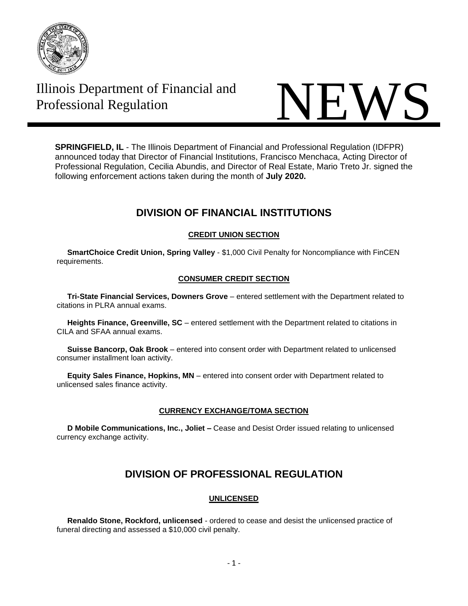

# Illinois Department of Financial and



**SPRINGFIELD, IL** - The Illinois Department of Financial and Professional Regulation (IDFPR) announced today that Director of Financial Institutions, Francisco Menchaca, Acting Director of Professional Regulation, Cecilia Abundis, and Director of Real Estate, Mario Treto Jr. signed the following enforcement actions taken during the month of **July 2020.**

## **DIVISION OF FINANCIAL INSTITUTIONS**

## **CREDIT UNION SECTION**

 **SmartChoice Credit Union, Spring Valley** - \$1,000 Civil Penalty for Noncompliance with FinCEN requirements.

### **CONSUMER CREDIT SECTION**

 **Tri-State Financial Services, Downers Grove** – entered settlement with the Department related to citations in PLRA annual exams.

 **Heights Finance, Greenville, SC** – entered settlement with the Department related to citations in CILA and SFAA annual exams.

 **Suisse Bancorp, Oak Brook** – entered into consent order with Department related to unlicensed consumer installment loan activity.

 **Equity Sales Finance, Hopkins, MN** – entered into consent order with Department related to unlicensed sales finance activity.

## **CURRENCY EXCHANGE/TOMA SECTION**

 **D Mobile Communications, Inc., Joliet –** Cease and Desist Order issued relating to unlicensed currency exchange activity.

# **DIVISION OF PROFESSIONAL REGULATION**

## **UNLICENSED**

 **Renaldo Stone, Rockford, unlicensed** - ordered to cease and desist the unlicensed practice of funeral directing and assessed a \$10,000 civil penalty.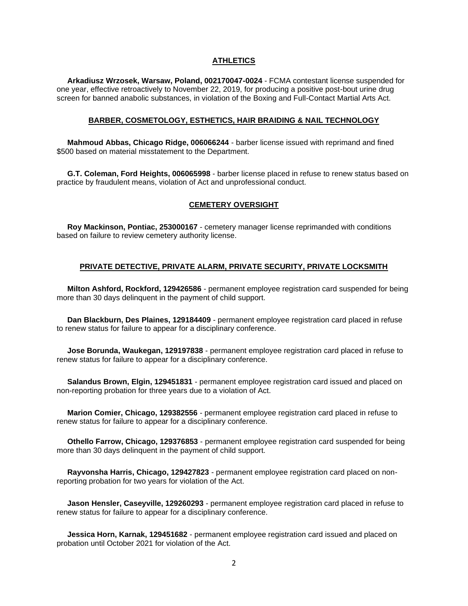#### **ATHLETICS**

 **Arkadiusz Wrzosek, Warsaw, Poland, 002170047-0024** - FCMA contestant license suspended for one year, effective retroactively to November 22, 2019, for producing a positive post-bout urine drug screen for banned anabolic substances, in violation of the Boxing and Full-Contact Martial Arts Act.

#### **BARBER, COSMETOLOGY, ESTHETICS, HAIR BRAIDING & NAIL TECHNOLOGY**

 **Mahmoud Abbas, Chicago Ridge, 006066244** - barber license issued with reprimand and fined \$500 based on material misstatement to the Department.

 **G.T. Coleman, Ford Heights, 006065998** - barber license placed in refuse to renew status based on practice by fraudulent means, violation of Act and unprofessional conduct.

#### **CEMETERY OVERSIGHT**

 **Roy Mackinson, Pontiac, 253000167** - cemetery manager license reprimanded with conditions based on failure to review cemetery authority license.

#### **PRIVATE DETECTIVE, PRIVATE ALARM, PRIVATE SECURITY, PRIVATE LOCKSMITH**

 **Milton Ashford, Rockford, 129426586** - permanent employee registration card suspended for being more than 30 days delinquent in the payment of child support.

 **Dan Blackburn, Des Plaines, 129184409** - permanent employee registration card placed in refuse to renew status for failure to appear for a disciplinary conference.

 **Jose Borunda, Waukegan, 129197838** - permanent employee registration card placed in refuse to renew status for failure to appear for a disciplinary conference.

 **Salandus Brown, Elgin, 129451831** - permanent employee registration card issued and placed on non-reporting probation for three years due to a violation of Act.

 **Marion Comier, Chicago, 129382556** - permanent employee registration card placed in refuse to renew status for failure to appear for a disciplinary conference.

 **Othello Farrow, Chicago, 129376853** - permanent employee registration card suspended for being more than 30 days delinquent in the payment of child support.

 **Rayvonsha Harris, Chicago, 129427823** - permanent employee registration card placed on nonreporting probation for two years for violation of the Act.

 **Jason Hensler, Caseyville, 129260293** - permanent employee registration card placed in refuse to renew status for failure to appear for a disciplinary conference.

 **Jessica Horn, Karnak, 129451682** - permanent employee registration card issued and placed on probation until October 2021 for violation of the Act.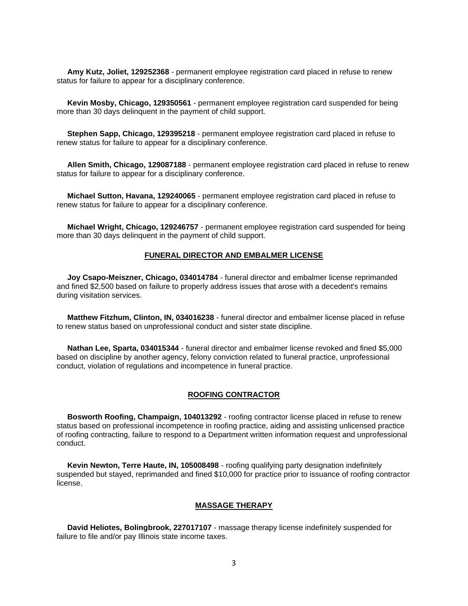**Amy Kutz, Joliet, 129252368** - permanent employee registration card placed in refuse to renew status for failure to appear for a disciplinary conference.

 **Kevin Mosby, Chicago, 129350561** - permanent employee registration card suspended for being more than 30 days delinquent in the payment of child support.

 **Stephen Sapp, Chicago, 129395218** - permanent employee registration card placed in refuse to renew status for failure to appear for a disciplinary conference.

 **Allen Smith, Chicago, 129087188** - permanent employee registration card placed in refuse to renew status for failure to appear for a disciplinary conference.

 **Michael Sutton, Havana, 129240065** - permanent employee registration card placed in refuse to renew status for failure to appear for a disciplinary conference.

 **Michael Wright, Chicago, 129246757** - permanent employee registration card suspended for being more than 30 days delinquent in the payment of child support.

#### **FUNERAL DIRECTOR AND EMBALMER LICENSE**

 **Joy Csapo-Meiszner, Chicago, 034014784** - funeral director and embalmer license reprimanded and fined \$2,500 based on failure to properly address issues that arose with a decedent's remains during visitation services.

 **Matthew Fitzhum, Clinton, IN, 034016238** - funeral director and embalmer license placed in refuse to renew status based on unprofessional conduct and sister state discipline.

 **Nathan Lee, Sparta, 034015344** - funeral director and embalmer license revoked and fined \$5,000 based on discipline by another agency, felony conviction related to funeral practice, unprofessional conduct, violation of regulations and incompetence in funeral practice.

#### **ROOFING CONTRACTOR**

 **Bosworth Roofing, Champaign, 104013292** - roofing contractor license placed in refuse to renew status based on professional incompetence in roofing practice, aiding and assisting unlicensed practice of roofing contracting, failure to respond to a Department written information request and unprofessional conduct.

 **Kevin Newton, Terre Haute, IN, 105008498** - roofing qualifying party designation indefinitely suspended but stayed, reprimanded and fined \$10,000 for practice prior to issuance of roofing contractor license.

#### **MASSAGE THERAPY**

 **David Heliotes, Bolingbrook, 227017107** - massage therapy license indefinitely suspended for failure to file and/or pay Illinois state income taxes.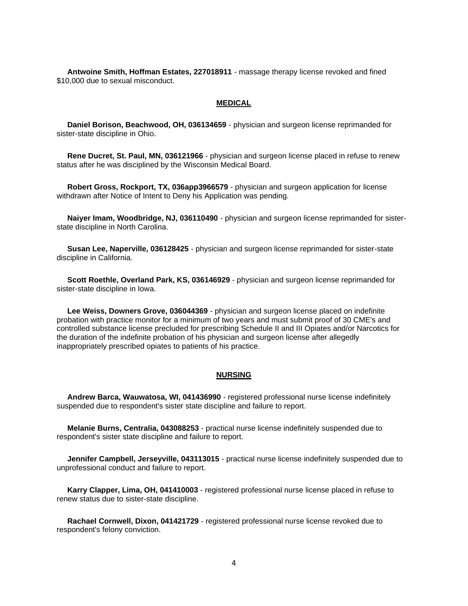**Antwoine Smith, Hoffman Estates, 227018911** - massage therapy license revoked and fined \$10,000 due to sexual misconduct.

#### **MEDICAL**

 **Daniel Borison, Beachwood, OH, 036134659** - physician and surgeon license reprimanded for sister-state discipline in Ohio.

 **Rene Ducret, St. Paul, MN, 036121966** - physician and surgeon license placed in refuse to renew status after he was disciplined by the Wisconsin Medical Board.

 **Robert Gross, Rockport, TX, 036app3966579** - physician and surgeon application for license withdrawn after Notice of Intent to Deny his Application was pending.

 **Naiyer Imam, Woodbridge, NJ, 036110490** - physician and surgeon license reprimanded for sisterstate discipline in North Carolina.

 **Susan Lee, Naperville, 036128425** - physician and surgeon license reprimanded for sister-state discipline in California.

 **Scott Roethle, Overland Park, KS, 036146929** - physician and surgeon license reprimanded for sister-state discipline in Iowa.

 **Lee Weiss, Downers Grove, 036044369** - physician and surgeon license placed on indefinite probation with practice monitor for a minimum of two years and must submit proof of 30 CME's and controlled substance license precluded for prescribing Schedule II and III Opiates and/or Narcotics for the duration of the indefinite probation of his physician and surgeon license after allegedly inappropriately prescribed opiates to patients of his practice.

#### **NURSING**

 **Andrew Barca, Wauwatosa, WI, 041436990** - registered professional nurse license indefinitely suspended due to respondent's sister state discipline and failure to report.

 **Melanie Burns, Centralia, 043088253** - practical nurse license indefinitely suspended due to respondent's sister state discipline and failure to report.

 **Jennifer Campbell, Jerseyville, 043113015** - practical nurse license indefinitely suspended due to unprofessional conduct and failure to report.

 **Karry Clapper, Lima, OH, 041410003** - registered professional nurse license placed in refuse to renew status due to sister-state discipline.

 **Rachael Cornwell, Dixon, 041421729** - registered professional nurse license revoked due to respondent's felony conviction.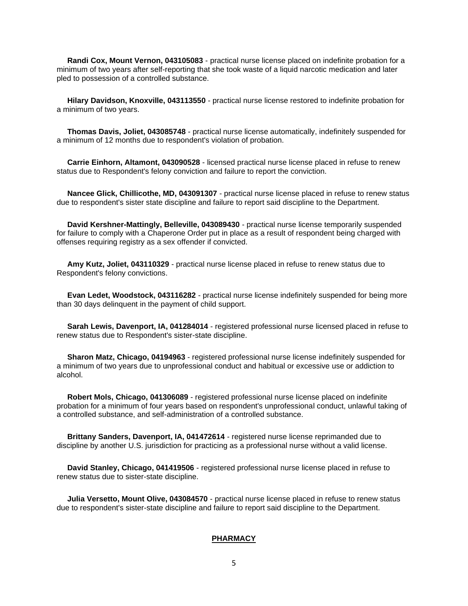**Randi Cox, Mount Vernon, 043105083** - practical nurse license placed on indefinite probation for a minimum of two years after self-reporting that she took waste of a liquid narcotic medication and later pled to possession of a controlled substance.

 **Hilary Davidson, Knoxville, 043113550** - practical nurse license restored to indefinite probation for a minimum of two years.

 **Thomas Davis, Joliet, 043085748** - practical nurse license automatically, indefinitely suspended for a minimum of 12 months due to respondent's violation of probation.

 **Carrie Einhorn, Altamont, 043090528** - licensed practical nurse license placed in refuse to renew status due to Respondent's felony conviction and failure to report the conviction.

 **Nancee Glick, Chillicothe, MD, 043091307** - practical nurse license placed in refuse to renew status due to respondent's sister state discipline and failure to report said discipline to the Department.

 **David Kershner-Mattingly, Belleville, 043089430** - practical nurse license temporarily suspended for failure to comply with a Chaperone Order put in place as a result of respondent being charged with offenses requiring registry as a sex offender if convicted.

 **Amy Kutz, Joliet, 043110329** - practical nurse license placed in refuse to renew status due to Respondent's felony convictions.

 **Evan Ledet, Woodstock, 043116282** - practical nurse license indefinitely suspended for being more than 30 days delinquent in the payment of child support.

 **Sarah Lewis, Davenport, IA, 041284014** - registered professional nurse licensed placed in refuse to renew status due to Respondent's sister-state discipline.

 **Sharon Matz, Chicago, 04194963** - registered professional nurse license indefinitely suspended for a minimum of two years due to unprofessional conduct and habitual or excessive use or addiction to alcohol.

 **Robert Mols, Chicago, 041306089** - registered professional nurse license placed on indefinite probation for a minimum of four years based on respondent's unprofessional conduct, unlawful taking of a controlled substance, and self-administration of a controlled substance.

 **Brittany Sanders, Davenport, IA, 041472614** - registered nurse license reprimanded due to discipline by another U.S. jurisdiction for practicing as a professional nurse without a valid license.

 **David Stanley, Chicago, 041419506** - registered professional nurse license placed in refuse to renew status due to sister-state discipline.

 **Julia Versetto, Mount Olive, 043084570** - practical nurse license placed in refuse to renew status due to respondent's sister-state discipline and failure to report said discipline to the Department.

#### **PHARMACY**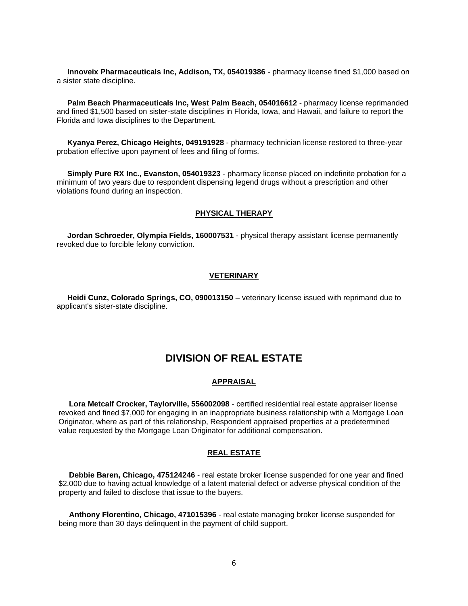**Innoveix Pharmaceuticals Inc, Addison, TX, 054019386** - pharmacy license fined \$1,000 based on a sister state discipline.

 **Palm Beach Pharmaceuticals Inc, West Palm Beach, 054016612** - pharmacy license reprimanded and fined \$1,500 based on sister-state disciplines in Florida, Iowa, and Hawaii, and failure to report the Florida and Iowa disciplines to the Department.

 **Kyanya Perez, Chicago Heights, 049191928** - pharmacy technician license restored to three-year probation effective upon payment of fees and filing of forms.

 **Simply Pure RX Inc., Evanston, 054019323** - pharmacy license placed on indefinite probation for a minimum of two years due to respondent dispensing legend drugs without a prescription and other violations found during an inspection.

#### **PHYSICAL THERAPY**

 **Jordan Schroeder, Olympia Fields, 160007531** - physical therapy assistant license permanently revoked due to forcible felony conviction.

#### **VETERINARY**

 **Heidi Cunz, Colorado Springs, CO, 090013150** – veterinary license issued with reprimand due to applicant's sister-state discipline.

## **DIVISION OF REAL ESTATE**

#### **APPRAISAL**

 **Lora Metcalf Crocker, Taylorville, 556002098** - certified residential real estate appraiser license revoked and fined \$7,000 for engaging in an inappropriate business relationship with a Mortgage Loan Originator, where as part of this relationship, Respondent appraised properties at a predetermined value requested by the Mortgage Loan Originator for additional compensation.

#### **REAL ESTATE**

 **Debbie Baren, Chicago, 475124246** - real estate broker license suspended for one year and fined \$2,000 due to having actual knowledge of a latent material defect or adverse physical condition of the property and failed to disclose that issue to the buyers.

 **Anthony Florentino, Chicago, 471015396** - real estate managing broker license suspended for being more than 30 days delinquent in the payment of child support.